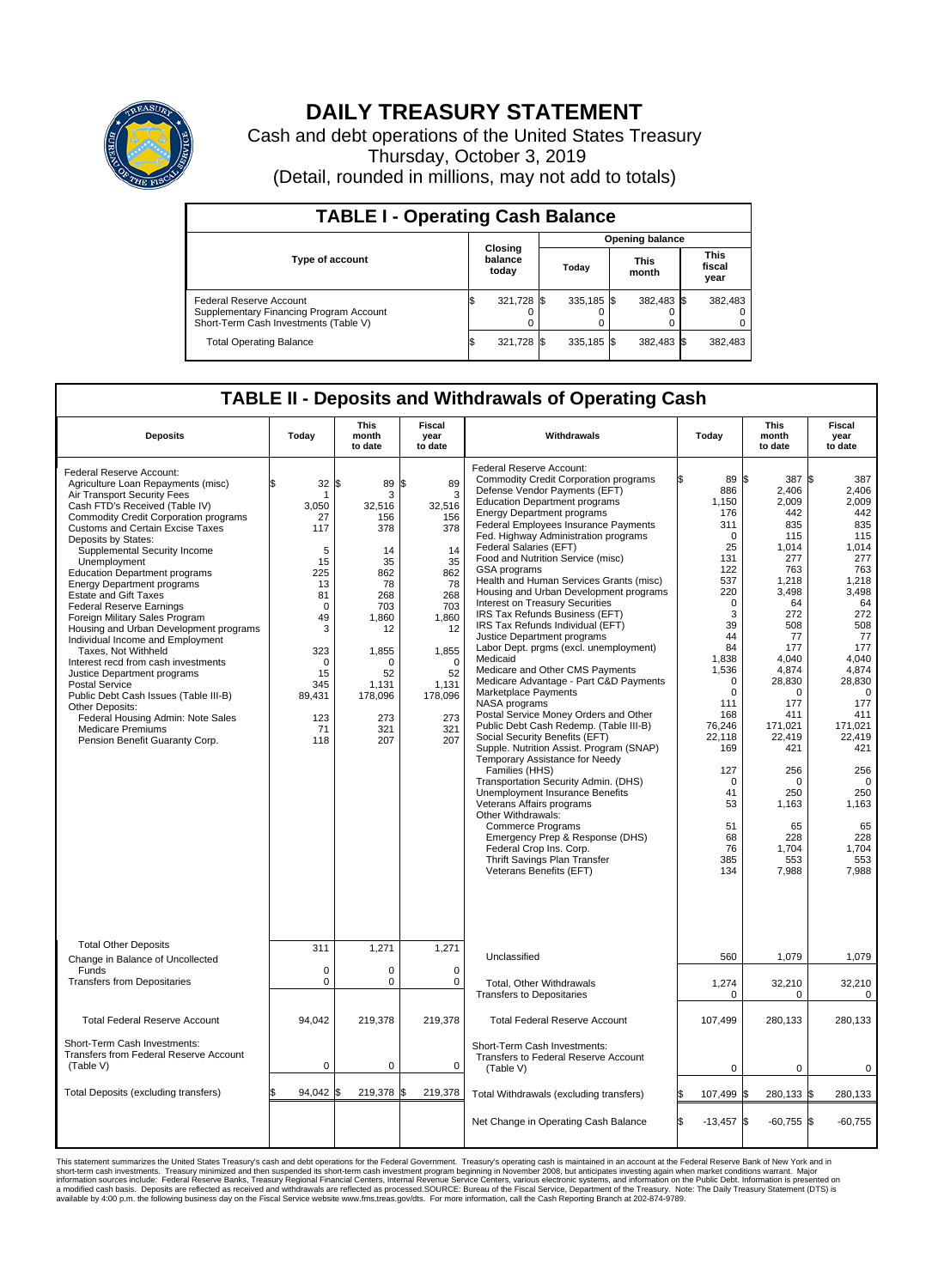

## **DAILY TREASURY STATEMENT**

Cash and debt operations of the United States Treasury Thursday, October 3, 2019 (Detail, rounded in millions, may not add to totals)

| <b>TABLE I - Operating Cash Balance</b>                                                                     |     |                             |                        |              |  |                      |  |                               |  |
|-------------------------------------------------------------------------------------------------------------|-----|-----------------------------|------------------------|--------------|--|----------------------|--|-------------------------------|--|
|                                                                                                             |     |                             | <b>Opening balance</b> |              |  |                      |  |                               |  |
| <b>Type of account</b>                                                                                      |     | Closing<br>balance<br>today |                        | Today        |  | <b>This</b><br>month |  | <b>This</b><br>fiscal<br>year |  |
| Federal Reserve Account<br>Supplementary Financing Program Account<br>Short-Term Cash Investments (Table V) |     | 321,728 \$                  |                        | $335.185$ \$ |  | 382,483 \$           |  | 382,483                       |  |
| <b>Total Operating Balance</b>                                                                              | I\$ | 321,728 \$                  |                        | 335,185 \$   |  | 382,483 \$           |  | 382,483                       |  |

## **TABLE II - Deposits and Withdrawals of Operating Cash**

| <b>Deposits</b>                                                                                                                                                                                                                                                                                                                                                                                                                                                                                                                                                                                                                                                                                                                                                                                                                                 | Today                                                                                                                                                      | This<br>month<br>to date                                                                                                                                         | Fiscal<br>year<br>to date                                                                                                                                        | Withdrawals                                                                                                                                                                                                                                                                                                                                                                                                                                                                                                                                                                                                                                                                                                                                                                                                                                                                                                                                                                                                                                                                                                                                                                                                                                                                   | Today                                                                                                                                                                                                                                                           | <b>This</b><br>month<br>to date                                                                                                                                                                                                                                                    | Fiscal<br>year<br>to date                                                                                                                                                                                                                                                       |
|-------------------------------------------------------------------------------------------------------------------------------------------------------------------------------------------------------------------------------------------------------------------------------------------------------------------------------------------------------------------------------------------------------------------------------------------------------------------------------------------------------------------------------------------------------------------------------------------------------------------------------------------------------------------------------------------------------------------------------------------------------------------------------------------------------------------------------------------------|------------------------------------------------------------------------------------------------------------------------------------------------------------|------------------------------------------------------------------------------------------------------------------------------------------------------------------|------------------------------------------------------------------------------------------------------------------------------------------------------------------|-------------------------------------------------------------------------------------------------------------------------------------------------------------------------------------------------------------------------------------------------------------------------------------------------------------------------------------------------------------------------------------------------------------------------------------------------------------------------------------------------------------------------------------------------------------------------------------------------------------------------------------------------------------------------------------------------------------------------------------------------------------------------------------------------------------------------------------------------------------------------------------------------------------------------------------------------------------------------------------------------------------------------------------------------------------------------------------------------------------------------------------------------------------------------------------------------------------------------------------------------------------------------------|-----------------------------------------------------------------------------------------------------------------------------------------------------------------------------------------------------------------------------------------------------------------|------------------------------------------------------------------------------------------------------------------------------------------------------------------------------------------------------------------------------------------------------------------------------------|---------------------------------------------------------------------------------------------------------------------------------------------------------------------------------------------------------------------------------------------------------------------------------|
| Federal Reserve Account:<br>Agriculture Loan Repayments (misc)<br>Air Transport Security Fees<br>Cash FTD's Received (Table IV)<br><b>Commodity Credit Corporation programs</b><br><b>Customs and Certain Excise Taxes</b><br>Deposits by States:<br>Supplemental Security Income<br>Unemployment<br><b>Education Department programs</b><br><b>Energy Department programs</b><br><b>Estate and Gift Taxes</b><br>Federal Reserve Earnings<br>Foreign Military Sales Program<br>Housing and Urban Development programs<br>Individual Income and Employment<br>Taxes, Not Withheld<br>Interest recd from cash investments<br>Justice Department programs<br><b>Postal Service</b><br>Public Debt Cash Issues (Table III-B)<br>Other Deposits:<br>Federal Housing Admin: Note Sales<br><b>Medicare Premiums</b><br>Pension Benefit Guaranty Corp. | \$.<br>32<br>1<br>3,050<br>27<br>117<br>5<br>15<br>225<br>13<br>81<br>$\mathbf 0$<br>49<br>3<br>323<br>$\Omega$<br>15<br>345<br>89,431<br>123<br>71<br>118 | l\$<br>89<br>3<br>32,516<br>156<br>378<br>14<br>35<br>862<br>78<br>268<br>703<br>1.860<br>12<br>1,855<br>$\Omega$<br>52<br>1,131<br>178,096<br>273<br>321<br>207 | l\$<br>89<br>3<br>32,516<br>156<br>378<br>14<br>35<br>862<br>78<br>268<br>703<br>1,860<br>12<br>1,855<br>$\Omega$<br>52<br>1,131<br>178,096<br>273<br>321<br>207 | Federal Reserve Account:<br><b>Commodity Credit Corporation programs</b><br>Defense Vendor Payments (EFT)<br><b>Education Department programs</b><br><b>Energy Department programs</b><br><b>Federal Employees Insurance Payments</b><br>Fed. Highway Administration programs<br>Federal Salaries (EFT)<br>Food and Nutrition Service (misc)<br>GSA programs<br>Health and Human Services Grants (misc)<br>Housing and Urban Development programs<br>Interest on Treasury Securities<br>IRS Tax Refunds Business (EFT)<br>IRS Tax Refunds Individual (EFT)<br>Justice Department programs<br>Labor Dept. prgms (excl. unemployment)<br>Medicaid<br>Medicare and Other CMS Payments<br>Medicare Advantage - Part C&D Payments<br>Marketplace Payments<br>NASA programs<br>Postal Service Money Orders and Other<br>Public Debt Cash Redemp. (Table III-B)<br>Social Security Benefits (EFT)<br>Supple. Nutrition Assist. Program (SNAP)<br>Temporary Assistance for Needy<br>Families (HHS)<br>Transportation Security Admin. (DHS)<br>Unemployment Insurance Benefits<br>Veterans Affairs programs<br>Other Withdrawals:<br><b>Commerce Programs</b><br>Emergency Prep & Response (DHS)<br>Federal Crop Ins. Corp.<br>Thrift Savings Plan Transfer<br>Veterans Benefits (EFT) | 89 \$<br>886<br>1.150<br>176<br>311<br>$\mathbf 0$<br>25<br>131<br>122<br>537<br>220<br>$\pmb{0}$<br>3<br>39<br>44<br>84<br>1,838<br>1,536<br>$\mathbf 0$<br>0<br>111<br>168<br>76.246<br>22.118<br>169<br>127<br>0<br>41<br>53<br>51<br>68<br>76<br>385<br>134 | 387 \$<br>2,406<br>2.009<br>442<br>835<br>115<br>1.014<br>277<br>763<br>1,218<br>3,498<br>64<br>272<br>508<br>77<br>177<br>4,040<br>4,874<br>28,830<br>$\Omega$<br>177<br>411<br>171.021<br>22.419<br>421<br>256<br>$\Omega$<br>250<br>1,163<br>65<br>228<br>1,704<br>553<br>7,988 | 387<br>2,406<br>2.009<br>442<br>835<br>115<br>1.014<br>277<br>763<br>1,218<br>3,498<br>64<br>272<br>508<br>77<br>177<br>4,040<br>4,874<br>28,830<br>$\Omega$<br>177<br>411<br>171.021<br>22.419<br>421<br>256<br>$\Omega$<br>250<br>1,163<br>65<br>228<br>1,704<br>553<br>7,988 |
| <b>Total Other Deposits</b><br>Change in Balance of Uncollected                                                                                                                                                                                                                                                                                                                                                                                                                                                                                                                                                                                                                                                                                                                                                                                 | 311                                                                                                                                                        | 1,271                                                                                                                                                            | 1,271                                                                                                                                                            | Unclassified                                                                                                                                                                                                                                                                                                                                                                                                                                                                                                                                                                                                                                                                                                                                                                                                                                                                                                                                                                                                                                                                                                                                                                                                                                                                  | 560                                                                                                                                                                                                                                                             | 1,079                                                                                                                                                                                                                                                                              | 1,079                                                                                                                                                                                                                                                                           |
| Funds<br><b>Transfers from Depositaries</b>                                                                                                                                                                                                                                                                                                                                                                                                                                                                                                                                                                                                                                                                                                                                                                                                     | $\mathbf 0$<br>0                                                                                                                                           | 0<br>0                                                                                                                                                           | 0<br>$\mathbf 0$                                                                                                                                                 | Total, Other Withdrawals<br><b>Transfers to Depositaries</b>                                                                                                                                                                                                                                                                                                                                                                                                                                                                                                                                                                                                                                                                                                                                                                                                                                                                                                                                                                                                                                                                                                                                                                                                                  | 1,274<br>$\mathbf 0$                                                                                                                                                                                                                                            | 32,210<br>$\mathbf 0$                                                                                                                                                                                                                                                              | 32,210<br>$\mathbf 0$                                                                                                                                                                                                                                                           |
| <b>Total Federal Reserve Account</b>                                                                                                                                                                                                                                                                                                                                                                                                                                                                                                                                                                                                                                                                                                                                                                                                            | 94,042                                                                                                                                                     | 219,378                                                                                                                                                          | 219,378                                                                                                                                                          | <b>Total Federal Reserve Account</b>                                                                                                                                                                                                                                                                                                                                                                                                                                                                                                                                                                                                                                                                                                                                                                                                                                                                                                                                                                                                                                                                                                                                                                                                                                          | 107,499                                                                                                                                                                                                                                                         | 280,133                                                                                                                                                                                                                                                                            | 280,133                                                                                                                                                                                                                                                                         |
| Short-Term Cash Investments:<br>Transfers from Federal Reserve Account<br>(Table V)                                                                                                                                                                                                                                                                                                                                                                                                                                                                                                                                                                                                                                                                                                                                                             | $\mathbf 0$                                                                                                                                                | 0                                                                                                                                                                | $\mathbf 0$                                                                                                                                                      | Short-Term Cash Investments:<br>Transfers to Federal Reserve Account<br>(Table V)                                                                                                                                                                                                                                                                                                                                                                                                                                                                                                                                                                                                                                                                                                                                                                                                                                                                                                                                                                                                                                                                                                                                                                                             | $\mathbf 0$                                                                                                                                                                                                                                                     | $\mathbf 0$                                                                                                                                                                                                                                                                        | 0                                                                                                                                                                                                                                                                               |
| Total Deposits (excluding transfers)                                                                                                                                                                                                                                                                                                                                                                                                                                                                                                                                                                                                                                                                                                                                                                                                            | $94,042$ \$                                                                                                                                                | 219,378 \$                                                                                                                                                       | 219,378                                                                                                                                                          | Total Withdrawals (excluding transfers)                                                                                                                                                                                                                                                                                                                                                                                                                                                                                                                                                                                                                                                                                                                                                                                                                                                                                                                                                                                                                                                                                                                                                                                                                                       | 107,499                                                                                                                                                                                                                                                         | 280,133 \$<br>l\$                                                                                                                                                                                                                                                                  | 280,133                                                                                                                                                                                                                                                                         |
|                                                                                                                                                                                                                                                                                                                                                                                                                                                                                                                                                                                                                                                                                                                                                                                                                                                 |                                                                                                                                                            |                                                                                                                                                                  |                                                                                                                                                                  | Net Change in Operating Cash Balance                                                                                                                                                                                                                                                                                                                                                                                                                                                                                                                                                                                                                                                                                                                                                                                                                                                                                                                                                                                                                                                                                                                                                                                                                                          | ß.<br>$-13.457$ \$                                                                                                                                                                                                                                              | $-60,755$ \$                                                                                                                                                                                                                                                                       | $-60,755$                                                                                                                                                                                                                                                                       |

This statement summarizes the United States Treasury's cash and debt operations for the Federal Government. Treasury soperating in November 2008, but anticiarded in a cocount at the Federal Reserve Bank of New York and in<br>